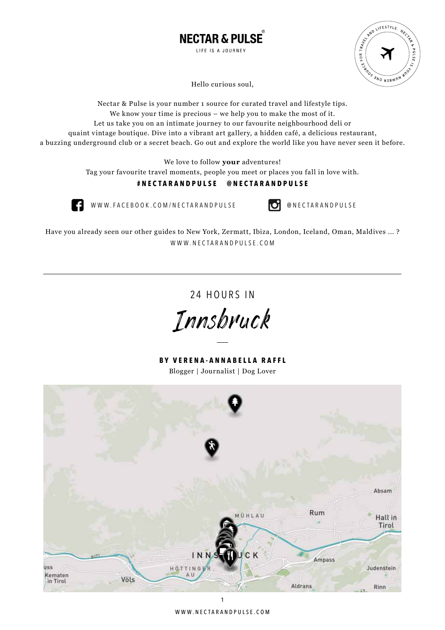



Hello curious soul,

Nectar & Pulse is your number 1 source for curated travel and lifestyle tips. We know your time is precious – we help you to make the most of it. Let us take you on an intimate journey to our favourite neighbourhood deli or quaint vintage boutique. Dive into a vibrant art gallery, a hidden café, a delicious restaurant, a buzzing underground club or a secret beach. Go out and explore the world like you have never seen it before.

We love to follow **your** adventures!

Tag your favourite travel moments, people you meet or places you fall in love with.

# **#NECTARANDPULSE @NECTARANDPULSE**



WWW.FACEBOOK.COM/NECTARANDPULSE **DenectarandPulse** 

Have you already seen our other guides to New York, Zermatt, Ibiza, London, Iceland, Oman, Maldives ... ? WWW.NECTARANDPULSE.COM

24 HOURS IN

Innsbruck

**BY VERENA-ANNABELLA RAFFL** Blogger | Journalist | Dog Lover

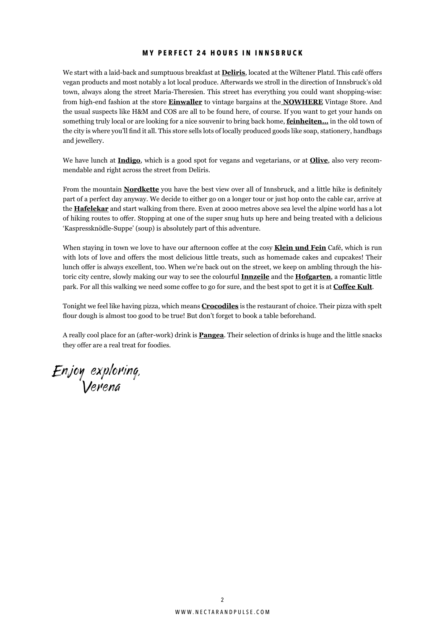### **MY PERFECT 24 HOURS IN INNSBRUCK**

We start with a laid-back and sumptuous breakfast at **Deliris**, located at the Wiltener Platzl. This café offers vegan products and most notably a lot local produce. Afterwards we stroll in the direction of Innsbruck's old town, always along the street Maria-Theresien. This street has everything you could want shopping-wise: from high-end fashion at the store **Einwaller** to vintage bargains at the **NOWHERE** Vintage Store. And the usual suspects like H&M and COS are all to be found here, of course. If you want to get your hands on something truly local or are looking for a nice souvenir to bring back home, **feinheiten…** in the old town of the city is where you'll find it all. This store sells lots of locally produced goods like soap, stationery, handbags and jewellery.

We have lunch at **Indigo**, which is a good spot for vegans and vegetarians, or at **Olive**, also very recommendable and right across the street from Deliris.

From the mountain **Nordkette** you have the best view over all of Innsbruck, and a little hike is definitely part of a perfect day anyway. We decide to either go on a longer tour or just hop onto the cable car, arrive at the **Hafelekar** and start walking from there. Even at 2000 metres above sea level the alpine world has a lot of hiking routes to offer. Stopping at one of the super snug huts up here and being treated with a delicious 'Kaspressknödle-Suppe' (soup) is absolutely part of this adventure.

When staying in town we love to have our afternoon coffee at the cosy **Klein und Fein** Café, which is run with lots of love and offers the most delicious little treats, such as homemade cakes and cupcakes! Their lunch offer is always excellent, too. When we're back out on the street, we keep on ambling through the historic city centre, slowly making our way to see the colourful **Innzeile** and the **Hofgarten**, a romantic little park. For all this walking we need some coffee to go for sure, and the best spot to get it is at **Coffee Kult**.

Tonight we feel like having pizza, which means **Crocodiles** is the restaurant of choice. Their pizza with spelt flour dough is almost too good to be true! But don't forget to book a table beforehand.

A really cool place for an (after-work) drink is **Pangea**. Their selection of drinks is huge and the little snacks they offer are a real treat for foodies.

Enjoy exploring, Verena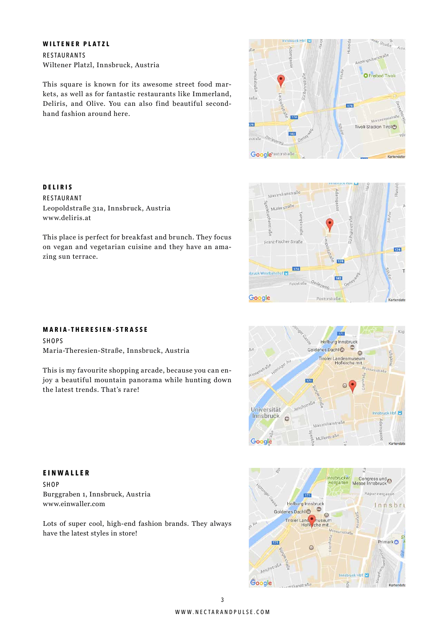### **WILTENER PLATZL**

**DELIRIS** RESTAURANT

www.deliris.at

zing sun terrace.

RESTAURANTS Wiltener Platzl, Innsbruck, Austria

This square is known for its awesome street food markets, as well as for fantastic restaurants like Immerland, Deliris, and Olive. You can also find beautiful secondhand fashion around here.

This place is perfect for breakfast and brunch. They focus on vegan and vegetarian cuisine and they have an ama-





### **MARIA-THERESIEN-STRASSE**

Leopoldstraße 31a, Innsbruck, Austria

SHOPS Maria-Theresien-Straße, Innsbruck, Austria

This is my favourite shopping arcade, because you can enjoy a beautiful mountain panorama while hunting down the latest trends. That's rare!





SHOP Burggraben 1, Innsbruck, Austria www.einwaller.com

Lots of super cool, high-end fashion brands. They always have the latest styles in store!

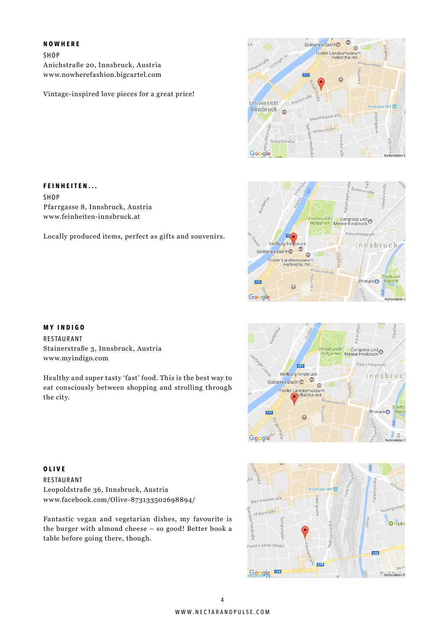### **NOWHERE**

SHOP Anichstraße 20, Innsbruck, Austria www.nowherefashion.bigcartel.com

Vintage-inspired love pieces for a great price!









# **FEINHEITEN...**

SHOP Pfarrgasse 8, Innsbruck, Austria www.feinheiten-innsbruck.at

Locally produced items, perfect as gifts and souvenirs.

### **MY INDIGO**

RESTAURANT Stainerstraße 3, Innsbruck, Austria www.myindigo.com

Healthy and super tasty 'fast' food. This is the best way to eat consciously between shopping and strolling through the city.

**OLIVE** RESTAURANT Leopoldstraße 36, Innsbruck, Austria www.facebook.com/Olive-873133502698894/

Fantastic vegan and vegetarian dishes, my favourite is the burger with almond cheese – so good! Better book a table before going there, though.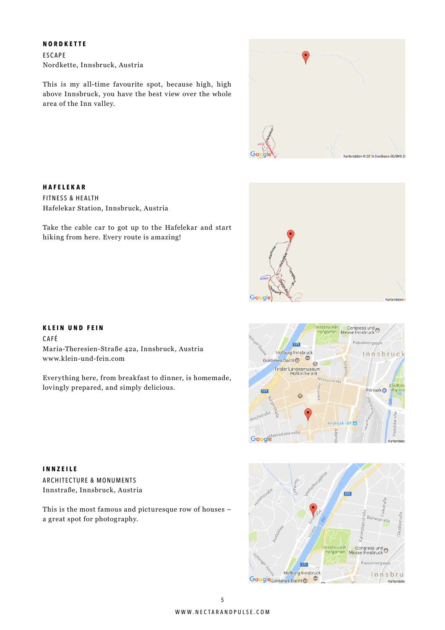### **NORDKETTE**

**HAFELEKAR** FITNESS & HEALTH

ESCAPE Nordkette, Innsbruck, Austria

Hafelekar Station, Innsbruck, Austria

hiking from here. Every route is amazing!

This is my all-time favourite spot, because high, high above Innsbruck, you have the best view over the whole area of the Inn valley.

Take the cable car to got up to the Hafelekar and start



# Google

### **KLEIN UND FEIN**

CAFÉ Maria-Theresien-Straße 42a, Innsbruck, Austria www.klein-und-fein.com

Everything here, from breakfast to dinner, is homemade, lovingly prepared, and simply delicious.



**INNZEILE** ARCHITECTURE & MONUMENTS Innstraße, Innsbruck, Austria

This is the most famous and picturesque row of houses – a great spot for photography.